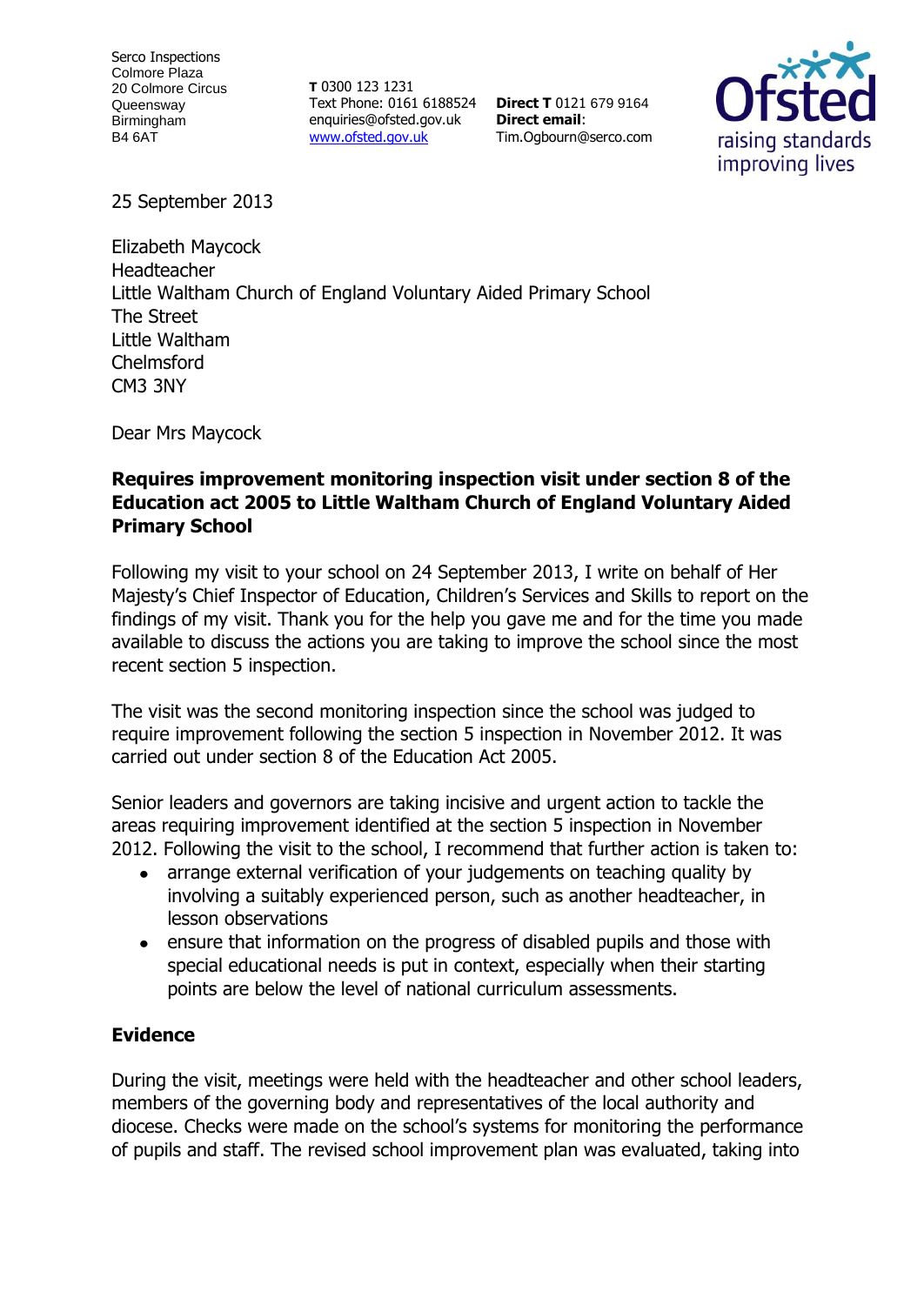**T** 0300 123 1231 Text Phone: 0161 6188524 enquiries@ofsted.gov.uk [www.ofsted.gov.uk](http://www.ofsted.gov.uk/)

**Direct T** 0121 679 9164 **Direct email**: Tim.Ogbourn@serco.com



25 September 2013

Elizabeth Maycock Headteacher Little Waltham Church of England Voluntary Aided Primary School The Street Little Waltham Chelmsford CM3 3NY

Dear Mrs Maycock

## **Requires improvement monitoring inspection visit under section 8 of the Education act 2005 to Little Waltham Church of England Voluntary Aided Primary School**

Following my visit to your school on 24 September 2013, I write on behalf of Her Majesty's Chief Inspector of Education, Children's Services and Skills to report on the findings of my visit. Thank you for the help you gave me and for the time you made available to discuss the actions you are taking to improve the school since the most recent section 5 inspection.

The visit was the second monitoring inspection since the school was judged to require improvement following the section 5 inspection in November 2012. It was carried out under section 8 of the Education Act 2005.

Senior leaders and governors are taking incisive and urgent action to tackle the areas requiring improvement identified at the section 5 inspection in November 2012. Following the visit to the school, I recommend that further action is taken to:

- arrange external verification of your judgements on teaching quality by  $\bullet$ involving a suitably experienced person, such as another headteacher, in lesson observations
- ensure that information on the progress of disabled pupils and those with special educational needs is put in context, especially when their starting points are below the level of national curriculum assessments.

#### **Evidence**

During the visit, meetings were held with the headteacher and other school leaders, members of the governing body and representatives of the local authority and diocese. Checks were made on the school's systems for monitoring the performance of pupils and staff. The revised school improvement plan was evaluated, taking into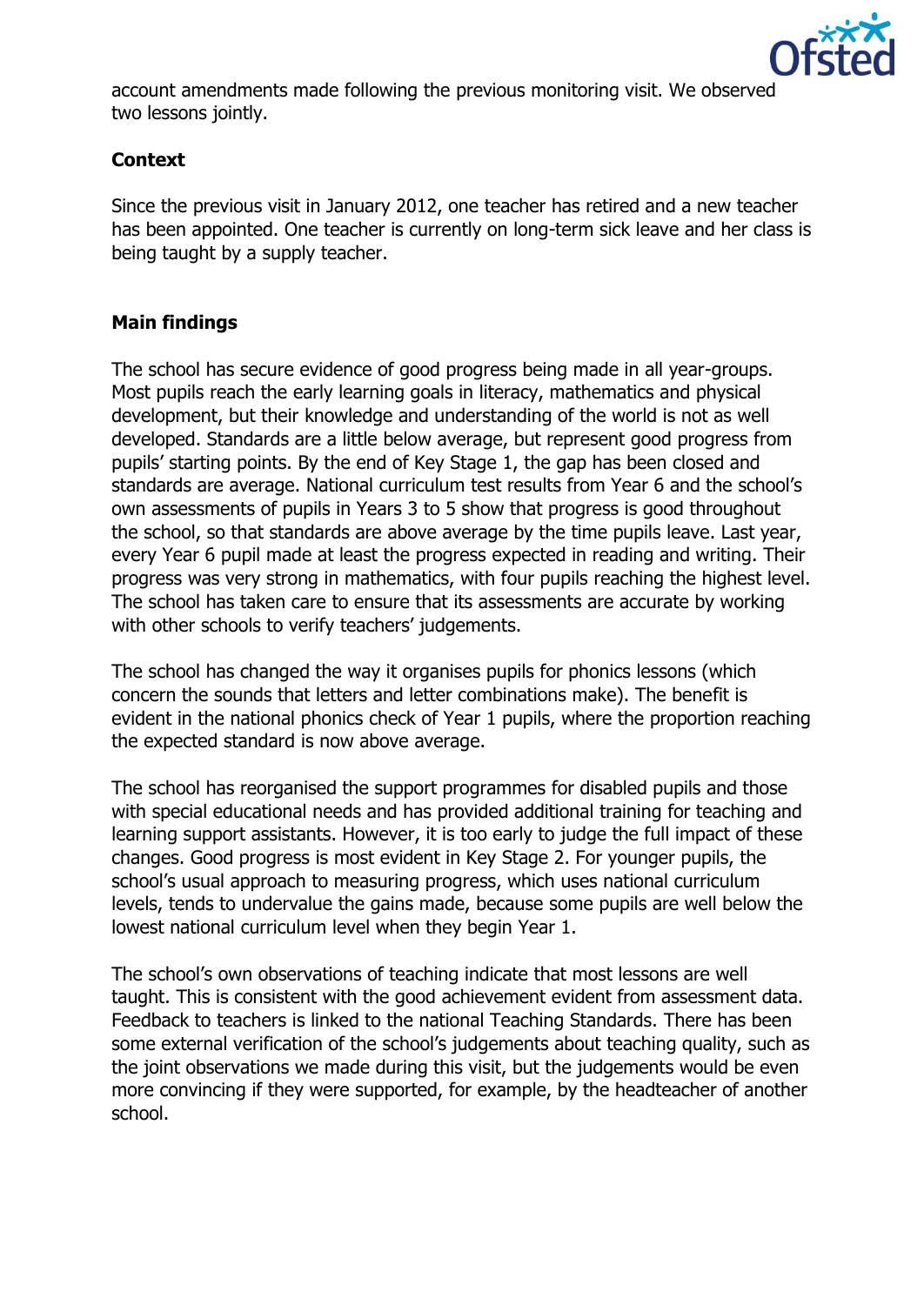

account amendments made following the previous monitoring visit. We observed two lessons jointly.

# **Context**

Since the previous visit in January 2012, one teacher has retired and a new teacher has been appointed. One teacher is currently on long-term sick leave and her class is being taught by a supply teacher.

# **Main findings**

The school has secure evidence of good progress being made in all year-groups. Most pupils reach the early learning goals in literacy, mathematics and physical development, but their knowledge and understanding of the world is not as well developed. Standards are a little below average, but represent good progress from pupils' starting points. By the end of Key Stage 1, the gap has been closed and standards are average. National curriculum test results from Year 6 and the school's own assessments of pupils in Years 3 to 5 show that progress is good throughout the school, so that standards are above average by the time pupils leave. Last year, every Year 6 pupil made at least the progress expected in reading and writing. Their progress was very strong in mathematics, with four pupils reaching the highest level. The school has taken care to ensure that its assessments are accurate by working with other schools to verify teachers' judgements.

The school has changed the way it organises pupils for phonics lessons (which concern the sounds that letters and letter combinations make). The benefit is evident in the national phonics check of Year 1 pupils, where the proportion reaching the expected standard is now above average.

The school has reorganised the support programmes for disabled pupils and those with special educational needs and has provided additional training for teaching and learning support assistants. However, it is too early to judge the full impact of these changes. Good progress is most evident in Key Stage 2. For younger pupils, the school's usual approach to measuring progress, which uses national curriculum levels, tends to undervalue the gains made, because some pupils are well below the lowest national curriculum level when they begin Year 1.

The school's own observations of teaching indicate that most lessons are well taught. This is consistent with the good achievement evident from assessment data. Feedback to teachers is linked to the national Teaching Standards. There has been some external verification of the school's judgements about teaching quality, such as the joint observations we made during this visit, but the judgements would be even more convincing if they were supported, for example, by the headteacher of another school.